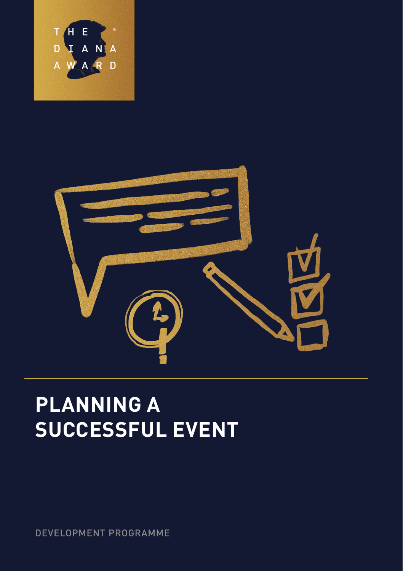



# **PLANNING A SUCCESSFUL EVENT**

DEVELOPMENT PROGRAMME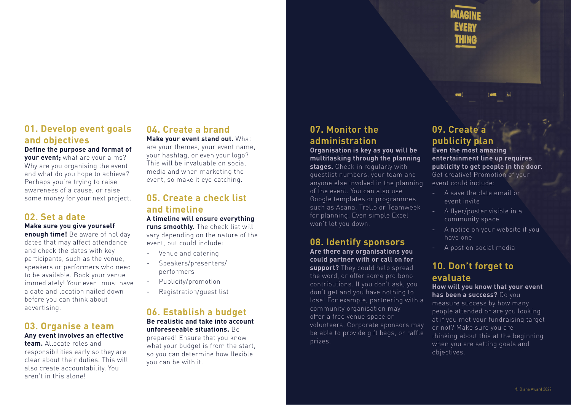### **01. Develop event goals and objectives**

**Define the purpose and format of your event;** what are your aims? Why are you organising the event and what do you hope to achieve? Perhaps you're trying to raise awareness of a cause, or raise some money for your next project.

### **02. Set a date**

**Make sure you give yourself** 

**enough time!** Be aware of holiday dates that may affect attendance and check the dates with key participants, such as the venue, speakers or performers who need to be available. Book your venue immediately! Your event must have a date and location nailed down before you can think about advertising.

#### **03. Organise a team Any event involves an effective**

**team.** Allocate roles and responsibilities early so they are clear about their duties. This will also create accountability. You aren't in this alone!

### **04. Create a brand Make your event stand out.** What

are your themes, your event name, your hashtag, or even your logo? This will be invaluable on social media and when marketing the event, so make it eye catching.

### **05. Create a check list and timeline**

**A timeline will ensure everything runs smoothly.** The check list will

vary depending on the nature of the event, but could include:

- Venue and catering
- Speakers/presenters/ performers
- Publicity/promotion
- Registration/guest list

#### **06. Establish a budget Be realistic and take into account**

## **unforeseeable situations.** Be

prepared! Ensure that you know what your budget is from the start, so you can determine how flexible you can be with it.

## **07. Monitor the administration**

#### **Organisation is key as you will be multitasking through the planning**

**stages.** Check in regularly with guestlist numbers, your team and anyone else involved in the planning of the event. You can also use Google templates or programmes such as Asana, Trello or Teamweek for planning. Even simple Excel won't let you down.

#### **08. Identify sponsors Are there any organisations you**

**could partner with or call on for support?** They could help spread

the word, or offer some pro bono contributions. If you don't ask, you don't get and you have nothing to lose! For example, partnering with a community organisation may offer a free venue space or volunteers. Corporate sponsors may be able to provide gift bags, or raffle prizes.

### **09. Create a publicity plan**

**Even the most amazing entertainment line up requires publicity to get people in the door.**  Get creative! Promotion of your event could include:

- A save the date email or event invite
- A flyer/poster visible in a community space
- A notice on your website if you have one
- A post on social media

#### **10. Don't forget to evaluate**

#### **How will you know that your event has been a success?** Do you

measure success by how many people attended or are you looking at if you met your fundraising target or not? Make sure you are thinking about this at the beginning when you are setting goals and objectives.